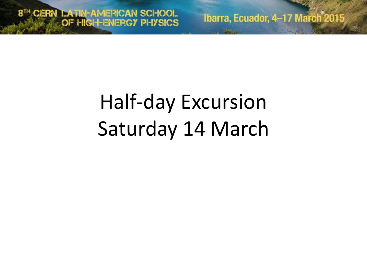Ibarra, Ecuador, 4-17 March<sup>2015</sup>

# Half-day Excursion Saturday 14 March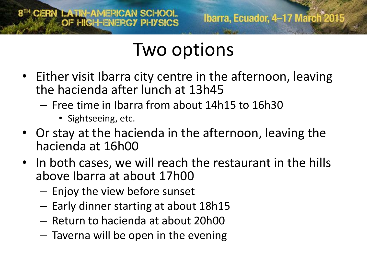#### Two options

- Either visit Ibarra city centre in the afternoon, leaving the hacienda after lunch at 13h45
	- Free time in Ibarra from about 14h15 to 16h30
		- Sightseeing, etc.
- Or stay at the hacienda in the afternoon, leaving the hacienda at 16h00
- In both cases, we will reach the restaurant in the hills above Ibarra at about 17h00
	- Enjoy the view before sunset
	- Early dinner starting at about 18h15
	- Return to hacienda at about 20h00
	- Taverna will be open in the evening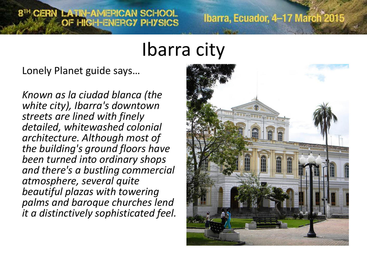# 8<sup>TH</sup> CERN LATIN-AMERICAN SCHOOL<br>OF HIGH-ENERGY PHYSICS

#### Ibarra, Ecuador, 4-17 March<sup>°2015</sup>

#### Ibarra city

Lonely Planet guide says…

*Known as la ciudad blanca (the white city), Ibarra's downtown streets are lined with finely detailed, whitewashed colonial architecture. Although most of the building's ground floors have been turned into ordinary shops and there's a bustling commercial atmosphere, several quite beautiful plazas with towering palms and baroque churches lend it a distinctively sophisticated feel.*

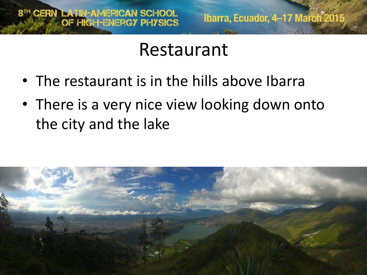### Restaurant

- The restaurant is in the hills above Ibarra
- There is a very nice view looking down onto the city and the lake

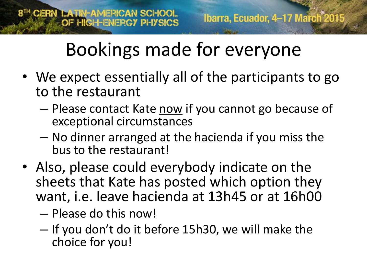# Bookings made for everyone

- We expect essentially all of the participants to go to the restaurant
	- Please contact Kate now if you cannot go because of exceptional circumstances
	- No dinner arranged at the hacienda if you miss the bus to the restaurant!
- Also, please could everybody indicate on the sheets that Kate has posted which option they want, i.e. leave hacienda at 13h45 or at 16h00
	- Please do this now!
	- If you don't do it before 15h30, we will make the choice for you!